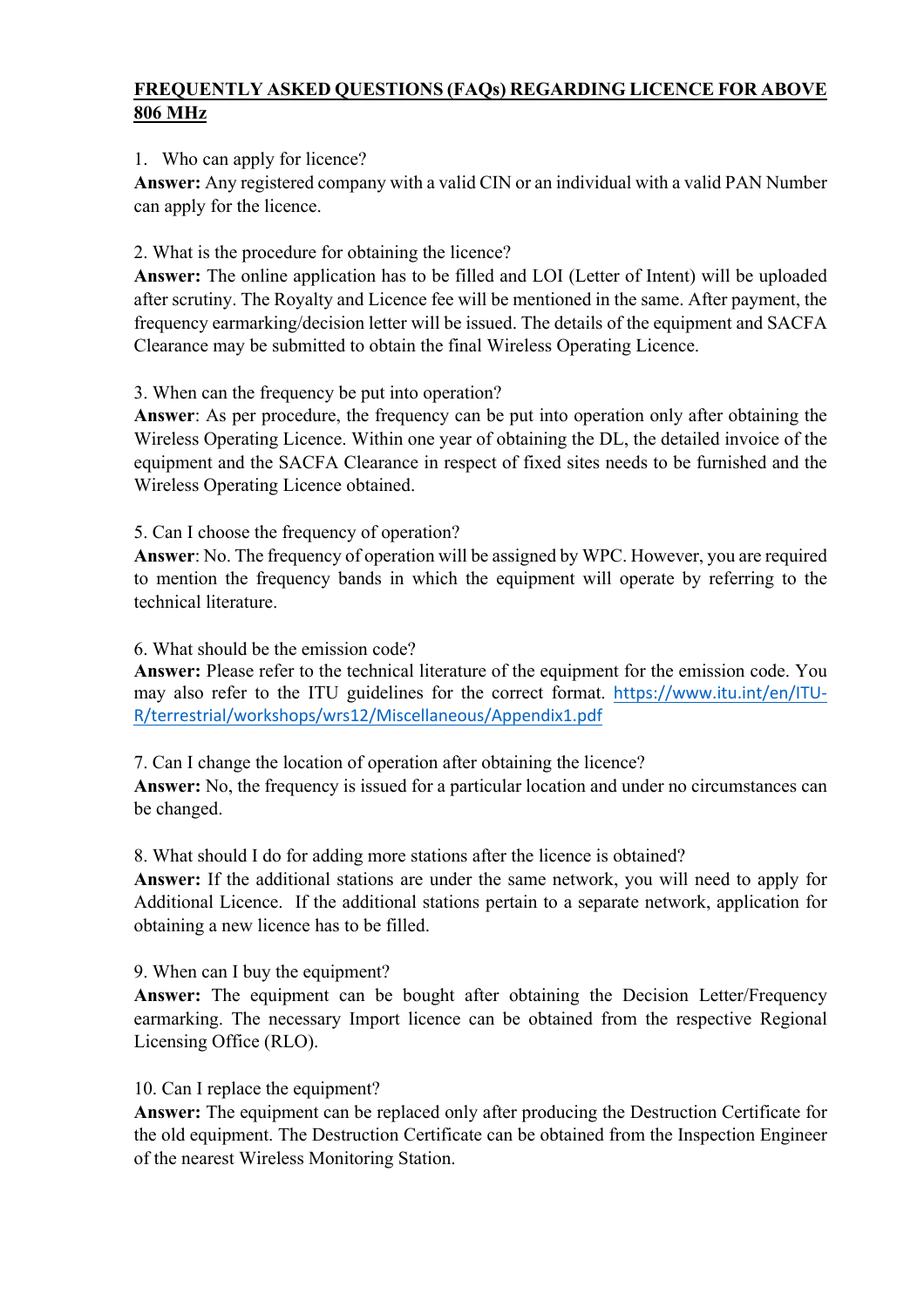## **FREQUENTLY ASKED QUESTIONS (FAQs) REGARDING LICENCE FOR ABOVE 806 MHz**

## 1. Who can apply for licence?

**Answer:** Any registered company with a valid CIN or an individual with a valid PAN Number can apply for the licence.

2. What is the procedure for obtaining the licence?

**Answer:** The online application has to be filled and LOI (Letter of Intent) will be uploaded after scrutiny. The Royalty and Licence fee will be mentioned in the same. After payment, the frequency earmarking/decision letter will be issued. The details of the equipment and SACFA Clearance may be submitted to obtain the final Wireless Operating Licence.

3. When can the frequency be put into operation?

**Answer**: As per procedure, the frequency can be put into operation only after obtaining the Wireless Operating Licence. Within one year of obtaining the DL, the detailed invoice of the equipment and the SACFA Clearance in respect of fixed sites needs to be furnished and the Wireless Operating Licence obtained.

5. Can I choose the frequency of operation?

**Answer**: No. The frequency of operation will be assigned by WPC. However, you are required to mention the frequency bands in which the equipment will operate by referring to the technical literature.

## 6. What should be the emission code?

**Answer:** Please refer to the technical literature of the equipment for the emission code. You may also refer to the ITU guidelines for the correct format. https://www.itu.int/en/ITU-R/terrestrial/workshops/wrs12/Miscellaneous/Appendix1.pdf

7. Can I change the location of operation after obtaining the licence?

**Answer:** No, the frequency is issued for a particular location and under no circumstances can be changed.

8. What should I do for adding more stations after the licence is obtained?

**Answer:** If the additional stations are under the same network, you will need to apply for Additional Licence. If the additional stations pertain to a separate network, application for obtaining a new licence has to be filled.

9. When can I buy the equipment?

**Answer:** The equipment can be bought after obtaining the Decision Letter/Frequency earmarking. The necessary Import licence can be obtained from the respective Regional Licensing Office (RLO).

10. Can I replace the equipment?

**Answer:** The equipment can be replaced only after producing the Destruction Certificate for the old equipment. The Destruction Certificate can be obtained from the Inspection Engineer of the nearest Wireless Monitoring Station.